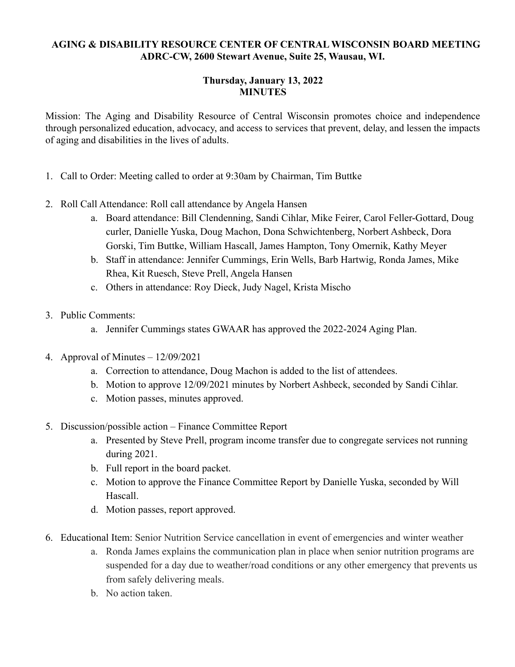## **AGING & DISABILITY RESOURCE CENTER OF CENTRAL WISCONSIN BOARD MEETING ADRC-CW, 2600 Stewart Avenue, Suite 25, Wausau, WI.**

## **Thursday, January 13, 2022 MINUTES**

Mission: The Aging and Disability Resource of Central Wisconsin promotes choice and independence through personalized education, advocacy, and access to services that prevent, delay, and lessen the impacts of aging and disabilities in the lives of adults.

- 1. Call to Order: Meeting called to order at 9:30am by Chairman, Tim Buttke
- 2. Roll Call Attendance: Roll call attendance by Angela Hansen
	- a. Board attendance: Bill Clendenning, Sandi Cihlar, Mike Feirer, Carol Feller-Gottard, Doug curler, Danielle Yuska, Doug Machon, Dona Schwichtenberg, Norbert Ashbeck, Dora Gorski, Tim Buttke, William Hascall, James Hampton, Tony Omernik, Kathy Meyer
	- b. Staff in attendance: Jennifer Cummings, Erin Wells, Barb Hartwig, Ronda James, Mike Rhea, Kit Ruesch, Steve Prell, Angela Hansen
	- c. Others in attendance: Roy Dieck, Judy Nagel, Krista Mischo
- 3. Public Comments:
	- a. Jennifer Cummings states GWAAR has approved the 2022-2024 Aging Plan.
- 4. Approval of Minutes 12/09/2021
	- a. Correction to attendance, Doug Machon is added to the list of attendees.
	- b. Motion to approve 12/09/2021 minutes by Norbert Ashbeck, seconded by Sandi Cihlar.
	- c. Motion passes, minutes approved.
- 5. Discussion/possible action Finance Committee Report
	- a. Presented by Steve Prell, program income transfer due to congregate services not running during 2021.
	- b. Full report in the board packet.
	- c. Motion to approve the Finance Committee Report by Danielle Yuska, seconded by Will Hascall.
	- d. Motion passes, report approved.
- 6. Educational Item: Senior Nutrition Service cancellation in event of emergencies and winter weather
	- a. Ronda James explains the communication plan in place when senior nutrition programs are suspended for a day due to weather/road conditions or any other emergency that prevents us from safely delivering meals.
	- b. No action taken.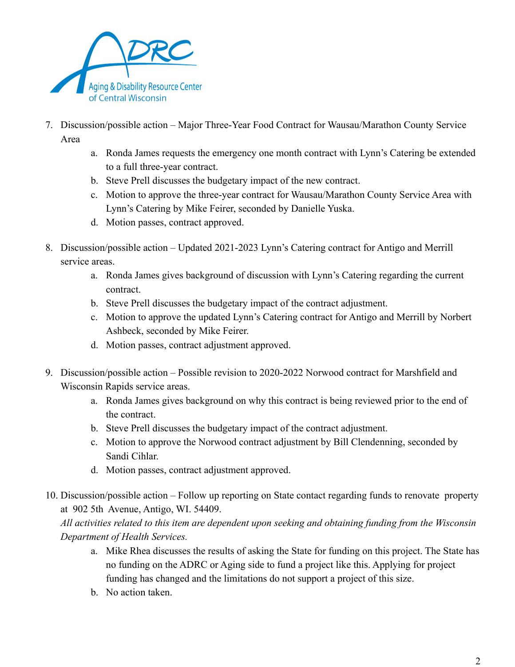

- 7. Discussion/possible action Major Three-Year Food Contract for Wausau/Marathon County Service Area
	- a. Ronda James requests the emergency one month contract with Lynn's Catering be extended to a full three-year contract.
	- b. Steve Prell discusses the budgetary impact of the new contract.
	- c. Motion to approve the three-year contract for Wausau/Marathon County Service Area with Lynn's Catering by Mike Feirer, seconded by Danielle Yuska.
	- d. Motion passes, contract approved.
- 8. Discussion/possible action Updated 2021-2023 Lynn's Catering contract for Antigo and Merrill service areas.
	- a. Ronda James gives background of discussion with Lynn's Catering regarding the current contract.
	- b. Steve Prell discusses the budgetary impact of the contract adjustment.
	- c. Motion to approve the updated Lynn's Catering contract for Antigo and Merrill by Norbert Ashbeck, seconded by Mike Feirer.
	- d. Motion passes, contract adjustment approved.
- 9. Discussion/possible action Possible revision to 2020-2022 Norwood contract for Marshfield and Wisconsin Rapids service areas.
	- a. Ronda James gives background on why this contract is being reviewed prior to the end of the contract.
	- b. Steve Prell discusses the budgetary impact of the contract adjustment.
	- c. Motion to approve the Norwood contract adjustment by Bill Clendenning, seconded by Sandi Cihlar.
	- d. Motion passes, contract adjustment approved.
- 10. Discussion/possible action Follow up reporting on State contact regarding funds to renovate property at 902 5th Avenue, Antigo, WI. 54409.

*All activities related to this item are dependent upon seeking and obtaining funding from the Wisconsin Department of Health Services.*

- a. Mike Rhea discusses the results of asking the State for funding on this project. The State has no funding on the ADRC or Aging side to fund a project like this. Applying for project funding has changed and the limitations do not support a project of this size.
- b. No action taken.